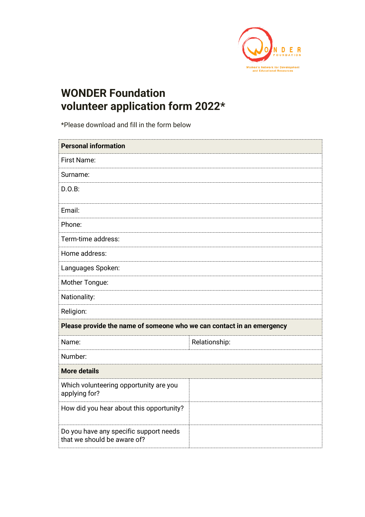

## **WONDER Foundation volunteer application form 2022\***

\*Please download and fill in the form below

| <b>Personal information</b>                                           |               |  |
|-----------------------------------------------------------------------|---------------|--|
| <b>First Name:</b>                                                    |               |  |
| Surname:                                                              |               |  |
| D.O.B:                                                                |               |  |
| Email:                                                                |               |  |
| Phone:                                                                |               |  |
| Term-time address:                                                    |               |  |
| Home address:                                                         |               |  |
| Languages Spoken:                                                     |               |  |
| Mother Tongue:                                                        |               |  |
| Nationality:                                                          |               |  |
| Religion:                                                             |               |  |
| Please provide the name of someone who we can contact in an emergency |               |  |
| Name:                                                                 | Relationship: |  |
| Number:                                                               |               |  |
| <b>More details</b>                                                   |               |  |
| Which volunteering opportunity are you<br>applying for?               |               |  |
| How did you hear about this opportunity?                              |               |  |
| Do you have any specific support needs<br>that we should be aware of? |               |  |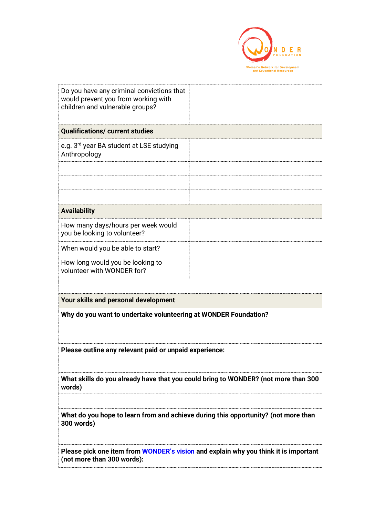

| Do you have any criminal convictions that<br>would prevent you from working with<br>children and vulnerable groups?      |  |  |
|--------------------------------------------------------------------------------------------------------------------------|--|--|
| <b>Qualifications/ current studies</b>                                                                                   |  |  |
| e.g. 3 <sup>rd</sup> year BA student at LSE studying<br>Anthropology                                                     |  |  |
|                                                                                                                          |  |  |
|                                                                                                                          |  |  |
|                                                                                                                          |  |  |
| <b>Availability</b>                                                                                                      |  |  |
| How many days/hours per week would<br>you be looking to volunteer?                                                       |  |  |
| When would you be able to start?                                                                                         |  |  |
| How long would you be looking to<br>volunteer with WONDER for?                                                           |  |  |
|                                                                                                                          |  |  |
| Your skills and personal development                                                                                     |  |  |
| Why do you want to undertake volunteering at WONDER Foundation?                                                          |  |  |
|                                                                                                                          |  |  |
| Please outline any relevant paid or unpaid experience:                                                                   |  |  |
|                                                                                                                          |  |  |
| What skills do you already have that you could bring to WONDER? (not more than 300<br>words)                             |  |  |
|                                                                                                                          |  |  |
| What do you hope to learn from and achieve during this opportunity? (not more than<br>300 words)                         |  |  |
|                                                                                                                          |  |  |
| Please pick one item from <b>WONDER's vision</b> and explain why you think it is important<br>(not more than 300 words): |  |  |